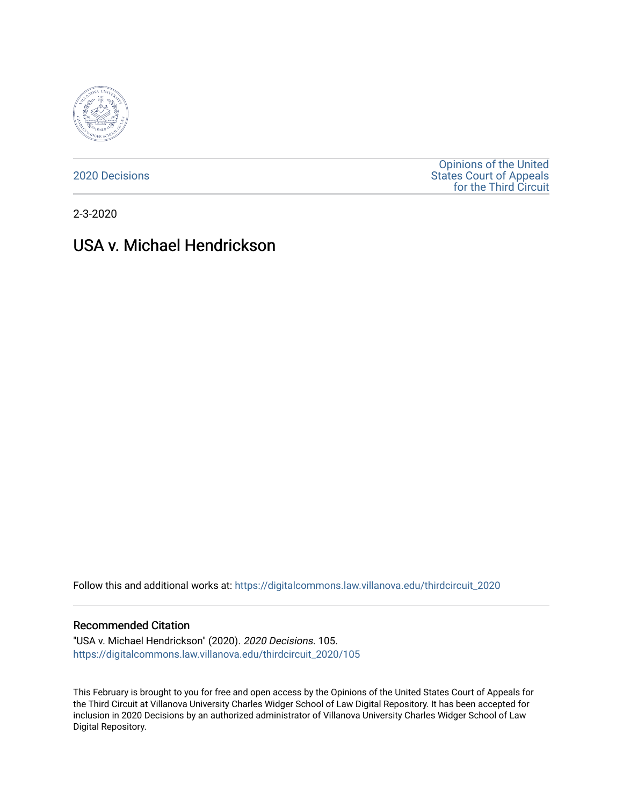

[2020 Decisions](https://digitalcommons.law.villanova.edu/thirdcircuit_2020)

[Opinions of the United](https://digitalcommons.law.villanova.edu/thirdcircuit)  [States Court of Appeals](https://digitalcommons.law.villanova.edu/thirdcircuit)  [for the Third Circuit](https://digitalcommons.law.villanova.edu/thirdcircuit) 

2-3-2020

# USA v. Michael Hendrickson

Follow this and additional works at: [https://digitalcommons.law.villanova.edu/thirdcircuit\\_2020](https://digitalcommons.law.villanova.edu/thirdcircuit_2020?utm_source=digitalcommons.law.villanova.edu%2Fthirdcircuit_2020%2F105&utm_medium=PDF&utm_campaign=PDFCoverPages) 

### Recommended Citation

"USA v. Michael Hendrickson" (2020). 2020 Decisions. 105. [https://digitalcommons.law.villanova.edu/thirdcircuit\\_2020/105](https://digitalcommons.law.villanova.edu/thirdcircuit_2020/105?utm_source=digitalcommons.law.villanova.edu%2Fthirdcircuit_2020%2F105&utm_medium=PDF&utm_campaign=PDFCoverPages)

This February is brought to you for free and open access by the Opinions of the United States Court of Appeals for the Third Circuit at Villanova University Charles Widger School of Law Digital Repository. It has been accepted for inclusion in 2020 Decisions by an authorized administrator of Villanova University Charles Widger School of Law Digital Repository.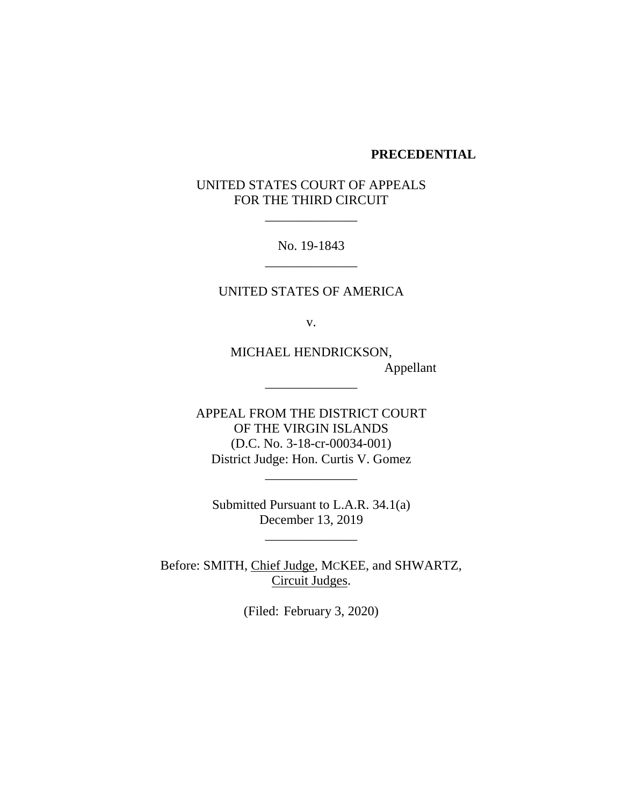### **PRECEDENTIAL**

# UNITED STATES COURT OF APPEALS FOR THE THIRD CIRCUIT

\_\_\_\_\_\_\_\_\_\_\_\_\_\_

No. 19-1843 \_\_\_\_\_\_\_\_\_\_\_\_\_\_

UNITED STATES OF AMERICA

v.

MICHAEL HENDRICKSON, Appellant

APPEAL FROM THE DISTRICT COURT OF THE VIRGIN ISLANDS (D.C. No. 3-18-cr-00034-001) District Judge: Hon. Curtis V. Gomez

\_\_\_\_\_\_\_\_\_\_\_\_\_\_

\_\_\_\_\_\_\_\_\_\_\_\_\_\_

Submitted Pursuant to L.A.R. 34.1(a) December 13, 2019

 $\overline{\phantom{a}}$ 

Before: SMITH, Chief Judge, MCKEE, and SHWARTZ, Circuit Judges.

(Filed: February 3, 2020)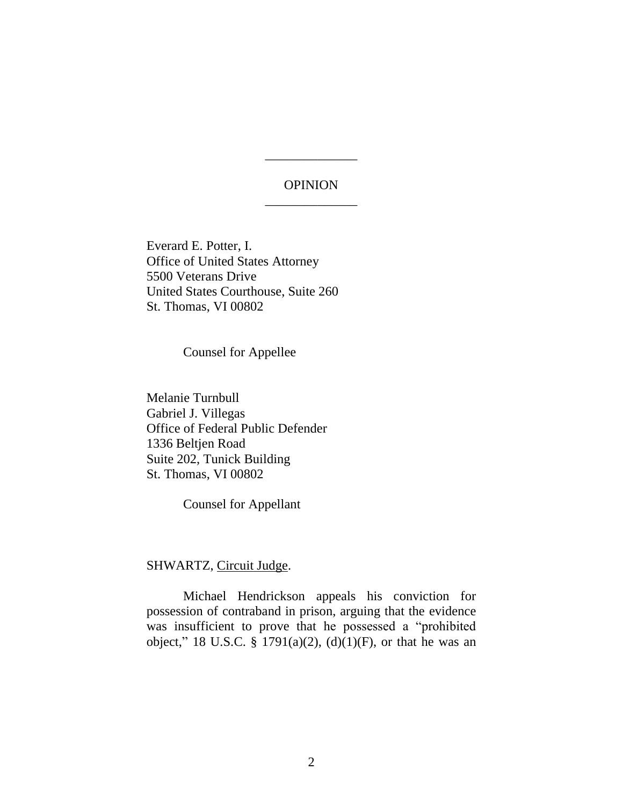# **OPINION** \_\_\_\_\_\_\_\_\_\_\_\_\_\_

\_\_\_\_\_\_\_\_\_\_\_\_\_\_

Everard E. Potter, I. Office of United States Attorney 5500 Veterans Drive United States Courthouse, Suite 260 St. Thomas, VI 00802

Counsel for Appellee

Melanie Turnbull Gabriel J. Villegas Office of Federal Public Defender 1336 Beltjen Road Suite 202, Tunick Building St. Thomas, VI 00802

Counsel for Appellant

## SHWARTZ, Circuit Judge.

Michael Hendrickson appeals his conviction for possession of contraband in prison, arguing that the evidence was insufficient to prove that he possessed a "prohibited object," 18 U.S.C. § 1791(a)(2), (d)(1)(F), or that he was an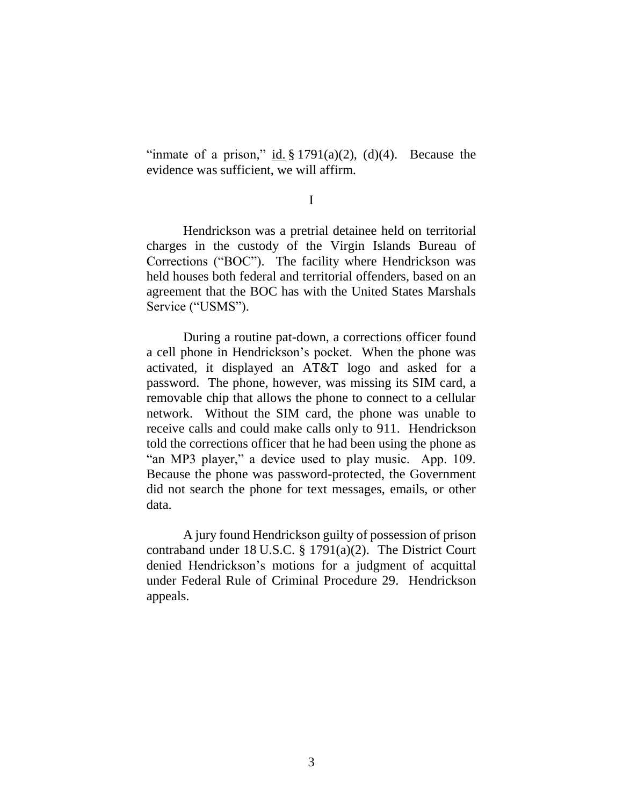"inmate of a prison," id.  $\S 1791(a)(2)$ , (d)(4). Because the evidence was sufficient, we will affirm.

I

Hendrickson was a pretrial detainee held on territorial charges in the custody of the Virgin Islands Bureau of Corrections ("BOC"). The facility where Hendrickson was held houses both federal and territorial offenders, based on an agreement that the BOC has with the United States Marshals Service ("USMS").

During a routine pat-down, a corrections officer found a cell phone in Hendrickson's pocket. When the phone was activated, it displayed an AT&T logo and asked for a password. The phone, however, was missing its SIM card, a removable chip that allows the phone to connect to a cellular network. Without the SIM card, the phone was unable to receive calls and could make calls only to 911. Hendrickson told the corrections officer that he had been using the phone as "an MP3 player," a device used to play music. App. 109. Because the phone was password-protected, the Government did not search the phone for text messages, emails, or other data.

A jury found Hendrickson guilty of possession of prison contraband under 18 U.S.C. § 1791(a)(2). The District Court denied Hendrickson's motions for a judgment of acquittal under Federal Rule of Criminal Procedure 29. Hendrickson appeals.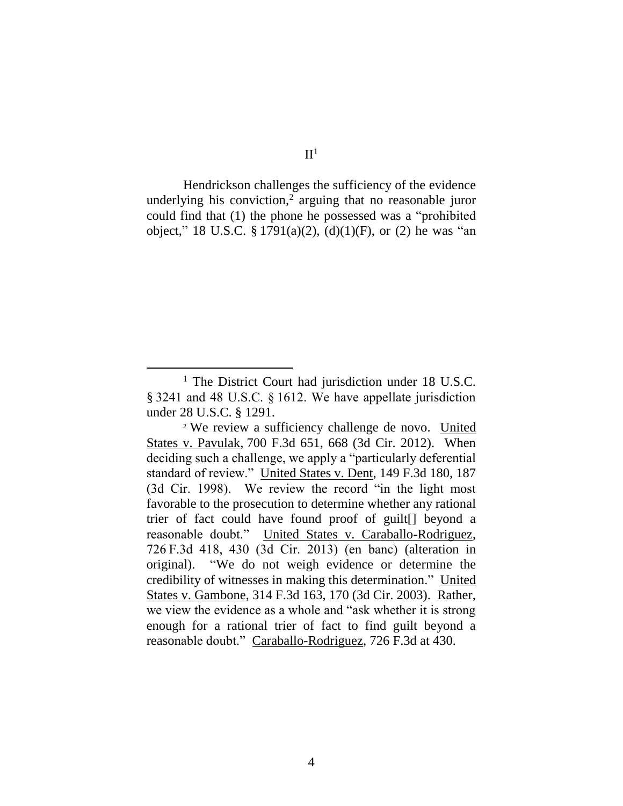$II<sup>1</sup>$ 

Hendrickson challenges the sufficiency of the evidence underlying his conviction, 2 arguing that no reasonable juror could find that (1) the phone he possessed was a "prohibited object," 18 U.S.C. § 1791(a)(2), (d)(1)(F), or (2) he was "an

<sup>&</sup>lt;sup>1</sup> The District Court had jurisdiction under 18 U.S.C. § 3241 and 48 U.S.C. § 1612. We have appellate jurisdiction under 28 U.S.C. § 1291.

<sup>2</sup> We review a sufficiency challenge de novo. United States v. Pavulak, 700 F.3d 651, 668 (3d Cir. 2012). When deciding such a challenge, we apply a "particularly deferential standard of review." United States v. Dent, 149 F.3d 180, 187 (3d Cir. 1998). We review the record "in the light most favorable to the prosecution to determine whether any rational trier of fact could have found proof of guilt[] beyond a reasonable doubt." United States v. Caraballo-Rodriguez, 726 F.3d 418, 430 (3d Cir. 2013) (en banc) (alteration in original). "We do not weigh evidence or determine the credibility of witnesses in making this determination." United States v. Gambone, 314 F.3d 163, 170 (3d Cir. 2003). Rather, we view the evidence as a whole and "ask whether it is strong enough for a rational trier of fact to find guilt beyond a reasonable doubt." Caraballo-Rodriguez, 726 F.3d at 430.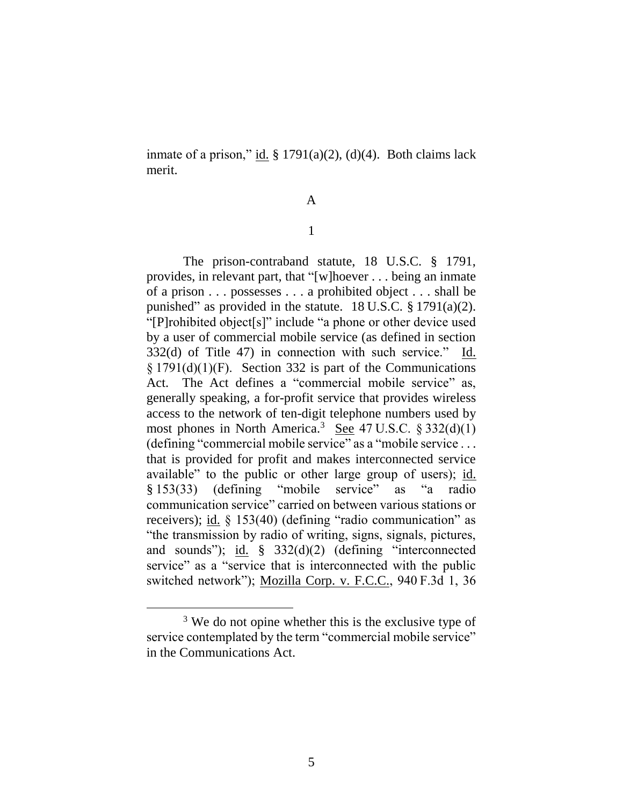inmate of a prison," id.  $\S 1791(a)(2)$ , (d)(4). Both claims lack merit.

### A

### 1

The prison-contraband statute, 18 U.S.C. § 1791, provides, in relevant part, that "[w]hoever . . . being an inmate of a prison . . . possesses . . . a prohibited object . . . shall be punished" as provided in the statute.  $18 \text{ U.S.C.} \$   $1791(a)(2)$ . "[P]rohibited object[s]" include "a phone or other device used by a user of commercial mobile service (as defined in section 332(d) of Title 47) in connection with such service." Id. § 1791(d)(1)(F). Section 332 is part of the Communications Act. The Act defines a "commercial mobile service" as, generally speaking, a for-profit service that provides wireless access to the network of ten-digit telephone numbers used by most phones in North America.<sup>3</sup> See 47 U.S.C.  $\S 332(d)(1)$ (defining "commercial mobile service" as a "mobile service ... that is provided for profit and makes interconnected service available" to the public or other large group of users); id. § 153(33) (defining "mobile service" as "a radio communication service" carried on between various stations or receivers); id. § 153(40) (defining "radio communication" as "the transmission by radio of writing, signs, signals, pictures, and sounds"); id. § 332(d)(2) (defining "interconnected service" as a "service that is interconnected with the public switched network"); Mozilla Corp. v. F.C.C., 940 F.3d 1, 36

<sup>&</sup>lt;sup>3</sup> We do not opine whether this is the exclusive type of service contemplated by the term "commercial mobile service" in the Communications Act.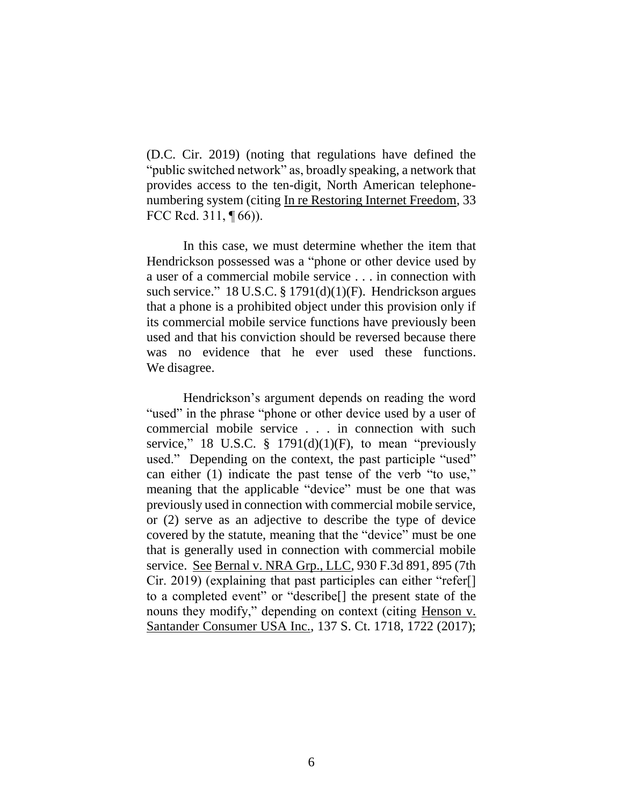(D.C. Cir. 2019) (noting that regulations have defined the "public switched network" as, broadly speaking, a network that provides access to the ten-digit, North American telephonenumbering system (citing In re Restoring Internet Freedom, 33 FCC Rcd. 311, ¶ 66)).

In this case, we must determine whether the item that Hendrickson possessed was a "phone or other device used by a user of a commercial mobile service . . . in connection with such service." 18 U.S.C. § 1791(d)(1)(F). Hendrickson argues that a phone is a prohibited object under this provision only if its commercial mobile service functions have previously been used and that his conviction should be reversed because there was no evidence that he ever used these functions. We disagree.

Hendrickson's argument depends on reading the word "used" in the phrase "phone or other device used by a user of commercial mobile service . . . in connection with such service," 18 U.S.C.  $\frac{1}{9}$  1791(d)(1)(F), to mean "previously used." Depending on the context, the past participle "used" can either (1) indicate the past tense of the verb "to use," meaning that the applicable "device" must be one that was previously used in connection with commercial mobile service, or (2) serve as an adjective to describe the type of device covered by the statute, meaning that the "device" must be one that is generally used in connection with commercial mobile service. See Bernal v. NRA Grp., LLC, 930 F.3d 891, 895 (7th Cir. 2019) (explaining that past participles can either "refer[] to a completed event" or "describe[] the present state of the nouns they modify," depending on context (citing Henson v. Santander Consumer USA Inc., 137 S. Ct. 1718, 1722 (2017);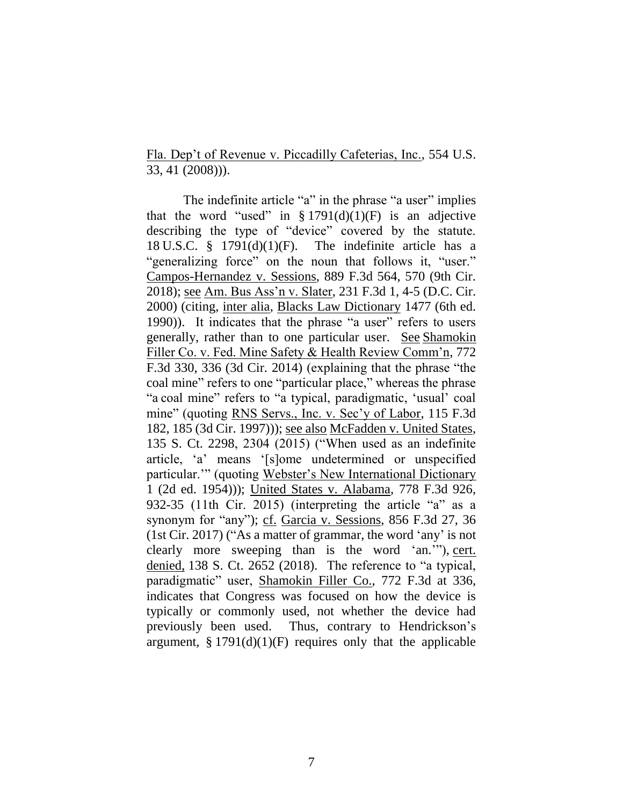Fla. Dep't of Revenue v. Piccadilly Cafeterias, Inc., 554 U.S. 33, 41 (2008))).

The indefinite article "a" in the phrase "a user" implies that the word "used" in  $\S 1791(d)(1)(F)$  is an adjective describing the type of "device" covered by the statute. 18 U.S.C.  $\frac{8}{9}$  1791(d)(1)(F). The indefinite article has a "generalizing force" on the noun that follows it, "user." Campos-Hernandez v. Sessions, 889 F.3d 564, 570 (9th Cir. 2018); see Am. Bus Ass'n v. Slater, 231 F.3d 1, 4-5 (D.C. Cir. 2000) (citing, inter alia, Blacks Law Dictionary 1477 (6th ed. 1990)). It indicates that the phrase "a user" refers to users generally, rather than to one particular user.See Shamokin Filler Co. v. Fed. Mine Safety & Health Review Comm'n, 772 F.3d 330, 336 (3d Cir. 2014) (explaining that the phrase "the coal mine" refers to one "particular place," whereas the phrase "a coal mine" refers to "a typical, paradigmatic, 'usual' coal mine" (quoting RNS Servs., Inc. v. Sec'y of Labor, 115 F.3d 182, 185 (3d Cir. 1997))); see also McFadden v. United States, 135 S. Ct. 2298, 2304 (2015) ("When used as an indefinite article, 'a' means '[s]ome undetermined or unspecified particular.'" (quoting Webster's New International Dictionary 1 (2d ed. 1954))); United States v. Alabama, 778 F.3d 926, 932-35 (11th Cir. 2015) (interpreting the article "a" as a synonym for "any"); cf. Garcia v. Sessions, 856 F.3d 27, 36 (1st Cir. 2017) ("As a matter of grammar, the word 'any' is not clearly more sweeping than is the word 'an.'"), cert. denied, 138 S. Ct. 2652 (2018). The reference to "a typical, paradigmatic" user, Shamokin Filler Co., 772 F.3d at 336, indicates that Congress was focused on how the device is typically or commonly used, not whether the device had previously been used. Thus, contrary to Hendrickson's argument,  $\S 1791(d)(1)(F)$  requires only that the applicable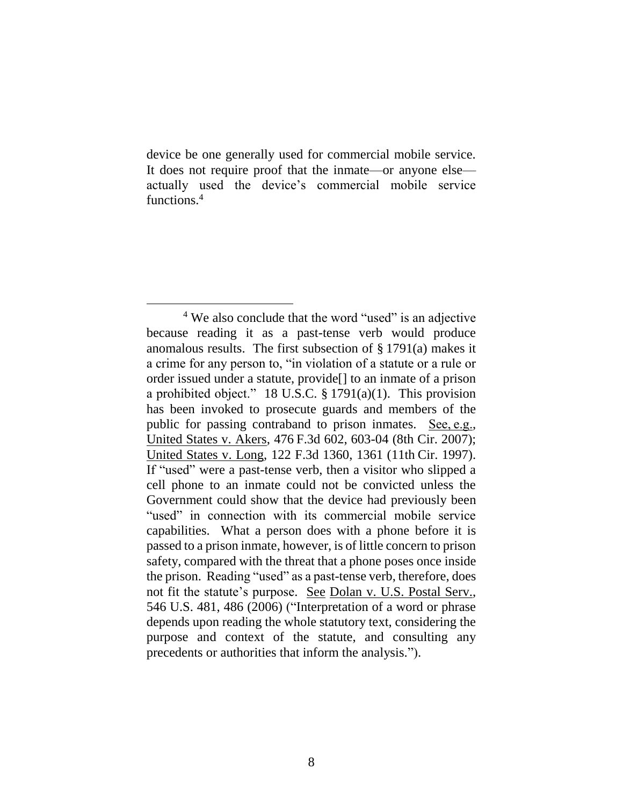device be one generally used for commercial mobile service. It does not require proof that the inmate—or anyone else actually used the device's commercial mobile service functions.<sup>4</sup>

<sup>&</sup>lt;sup>4</sup> We also conclude that the word "used" is an adjective because reading it as a past-tense verb would produce anomalous results. The first subsection of § 1791(a) makes it a crime for any person to, "in violation of a statute or a rule or order issued under a statute, provide[] to an inmate of a prison a prohibited object." 18 U.S.C. § 1791(a)(1). This provision has been invoked to prosecute guards and members of the public for passing contraband to prison inmates. See, e.g., United States v. Akers, 476 F.3d 602, 603-04 (8th Cir. 2007); United States v. Long, 122 F.3d 1360, 1361 (11th Cir. 1997). If "used" were a past-tense verb, then a visitor who slipped a cell phone to an inmate could not be convicted unless the Government could show that the device had previously been "used" in connection with its commercial mobile service capabilities. What a person does with a phone before it is passed to a prison inmate, however, is of little concern to prison safety, compared with the threat that a phone poses once inside the prison. Reading "used" as a past-tense verb, therefore, does not fit the statute's purpose. See Dolan v. U.S. Postal Serv., 546 U.S. 481, 486 (2006) ("Interpretation of a word or phrase depends upon reading the whole statutory text, considering the purpose and context of the statute, and consulting any precedents or authorities that inform the analysis.").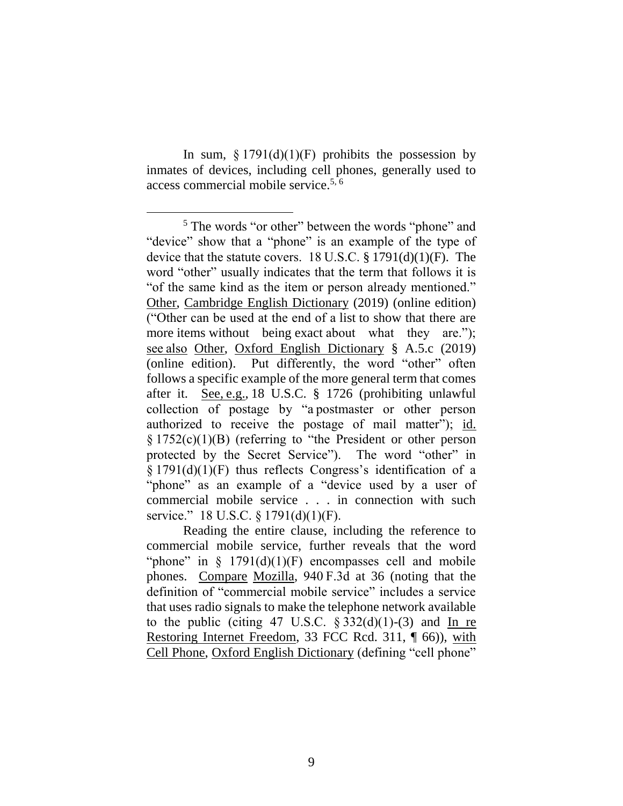In sum,  $\S 1791(d)(1)(F)$  prohibits the possession by inmates of devices, including cell phones, generally used to access commercial mobile service. 5, 6

Reading the entire clause, including the reference to commercial mobile service, further reveals that the word "phone" in  $\S$  1791(d)(1)(F) encompasses cell and mobile phones. Compare Mozilla, 940 F.3d at 36 (noting that the definition of "commercial mobile service" includes a service that uses radio signals to make the telephone network available to the public (citing 47 U.S.C.  $\S 332(d)(1)-(3)$  and In re Restoring Internet Freedom, 33 FCC Rcd. 311, ¶ 66)), with Cell Phone, Oxford English Dictionary (defining "cell phone"

<sup>5</sup> The words "or other" between the words "phone" and "device" show that a "phone" is an example of the type of device that the statute covers. 18 U.S.C. § 1791(d)(1)(F). The word "other" usually indicates that the term that follows it is "of the same kind as the item or person already mentioned." Other, Cambridge English Dictionary (2019) (online edition) ("Other can be used at the end of a list to show that there are more items without being exact about what they are."); see also Other, Oxford English Dictionary § A.5.c (2019) (online edition). Put differently, the word "other" often follows a specific example of the more general term that comes after it. See, e.g., 18 U.S.C. § 1726 (prohibiting unlawful collection of postage by "a postmaster or other person authorized to receive the postage of mail matter"); id. § 1752(c)(1)(B) (referring to "the President or other person protected by the Secret Service"). The word "other" in § 1791(d)(1)(F) thus reflects Congress's identification of a "phone" as an example of a "device used by a user of commercial mobile service . . . in connection with such service." 18 U.S.C. § 1791(d)(1)(F).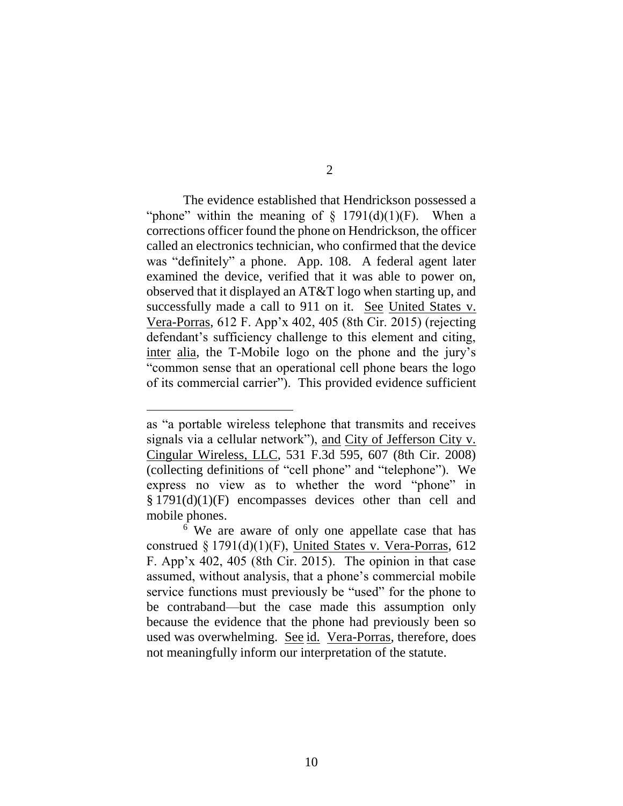The evidence established that Hendrickson possessed a "phone" within the meaning of  $\S$  1791(d)(1)(F). When a corrections officer found the phone on Hendrickson, the officer called an electronics technician, who confirmed that the device was "definitely" a phone. App. 108. A federal agent later examined the device, verified that it was able to power on, observed that it displayed an AT&T logo when starting up, and successfully made a call to 911 on it. See United States v. Vera-Porras, 612 F. App'x 402, 405 (8th Cir. 2015) (rejecting defendant's sufficiency challenge to this element and citing, inter alia, the T-Mobile logo on the phone and the jury's "common sense that an operational cell phone bears the logo of its commercial carrier"). This provided evidence sufficient

as "a portable wireless telephone that transmits and receives signals via a cellular network"), and City of Jefferson City v. Cingular Wireless, LLC, 531 F.3d 595, 607 (8th Cir. 2008) (collecting definitions of "cell phone" and "telephone"). We express no view as to whether the word "phone" in § 1791(d)(1)(F) encompasses devices other than cell and mobile phones.

<sup>&</sup>lt;sup>6</sup> We are aware of only one appellate case that has construed § 1791(d)(1)(F), United States v. Vera-Porras, 612 F. App'x 402, 405 (8th Cir. 2015). The opinion in that case assumed, without analysis, that a phone's commercial mobile service functions must previously be "used" for the phone to be contraband—but the case made this assumption only because the evidence that the phone had previously been so used was overwhelming. See id. Vera-Porras, therefore, does not meaningfully inform our interpretation of the statute.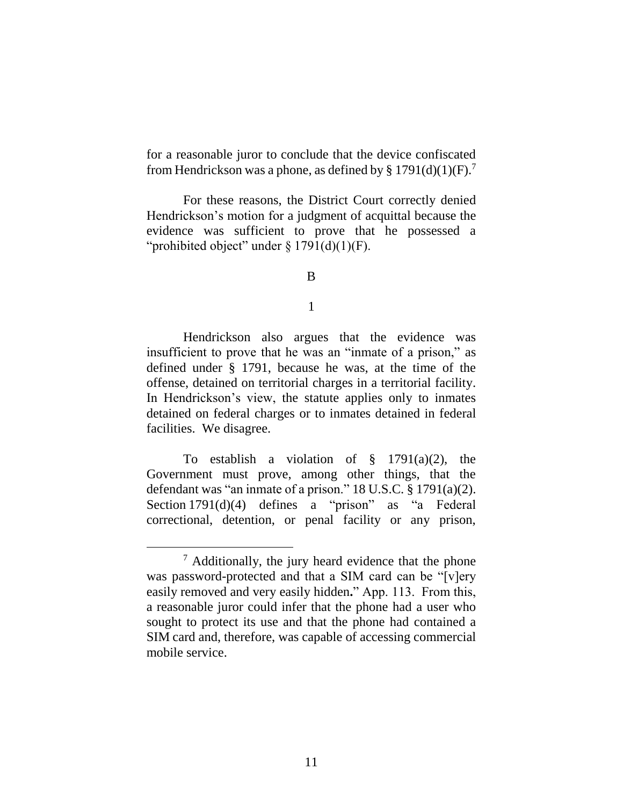for a reasonable juror to conclude that the device confiscated from Hendrickson was a phone, as defined by § 1791(d)(1)(F).<sup>7</sup>

For these reasons, the District Court correctly denied Hendrickson's motion for a judgment of acquittal because the evidence was sufficient to prove that he possessed a "prohibited object" under  $\S 1791(d)(1)(F)$ .

B

1

Hendrickson also argues that the evidence was insufficient to prove that he was an "inmate of a prison," as defined under § 1791, because he was, at the time of the offense, detained on territorial charges in a territorial facility. In Hendrickson's view, the statute applies only to inmates detained on federal charges or to inmates detained in federal facilities. We disagree.

To establish a violation of  $\S$  1791(a)(2), the Government must prove, among other things, that the defendant was "an inmate of a prison." 18 U.S.C. § 1791(a)(2). Section 1791(d)(4) defines a "prison" as "a Federal correctional, detention, or penal facility or any prison,

<sup>7</sup> Additionally, the jury heard evidence that the phone was password-protected and that a SIM card can be "[v]ery easily removed and very easily hidden**.**" App. 113. From this, a reasonable juror could infer that the phone had a user who sought to protect its use and that the phone had contained a SIM card and, therefore, was capable of accessing commercial mobile service.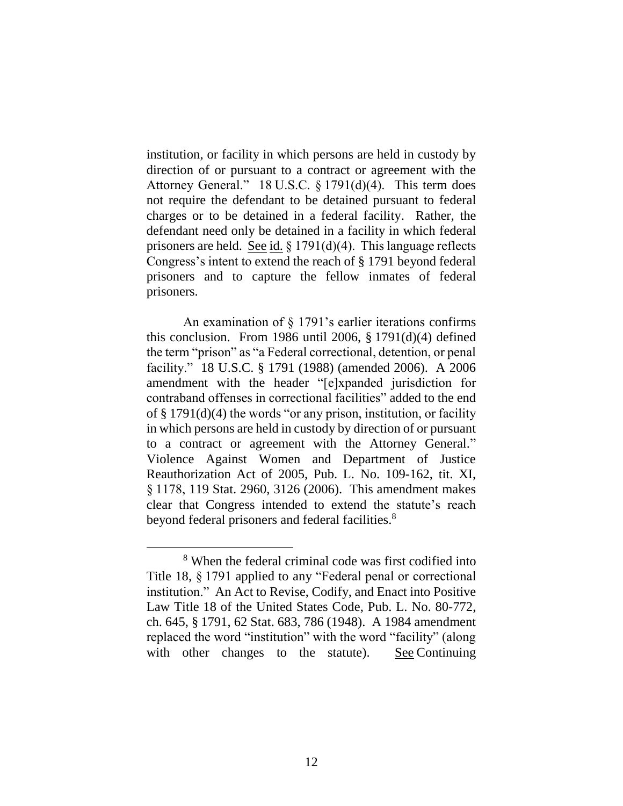institution, or facility in which persons are held in custody by direction of or pursuant to a contract or agreement with the Attorney General." 18 U.S.C. § 1791(d)(4). This term does not require the defendant to be detained pursuant to federal charges or to be detained in a federal facility. Rather, the defendant need only be detained in a facility in which federal prisoners are held. <u>See id.</u> § 1791(d)(4). This language reflects Congress's intent to extend the reach of § 1791 beyond federal prisoners and to capture the fellow inmates of federal prisoners.

An examination of § 1791's earlier iterations confirms this conclusion. From 1986 until 2006,  $\S 1791(d)(4)$  defined the term "prison" as "a Federal correctional, detention, or penal facility." 18 U.S.C. § 1791 (1988) (amended 2006). A 2006 amendment with the header "[e]xpanded jurisdiction for contraband offenses in correctional facilities" added to the end of § 1791(d)(4) the words "or any prison, institution, or facility in which persons are held in custody by direction of or pursuant to a contract or agreement with the Attorney General." Violence Against Women and Department of Justice Reauthorization Act of 2005, Pub. L. No. 109-162, tit. XI, § 1178, 119 Stat. 2960, 3126 (2006). This amendment makes clear that Congress intended to extend the statute's reach beyond federal prisoners and federal facilities.<sup>8</sup>

<sup>8</sup> When the federal criminal code was first codified into Title 18, § 1791 applied to any "Federal penal or correctional institution." An Act to Revise, Codify, and Enact into Positive Law Title 18 of the United States Code, Pub. L. No. 80-772, ch. 645, § 1791, 62 Stat. 683, 786 (1948). A 1984 amendment replaced the word "institution" with the word "facility" (along with other changes to the statute). See Continuing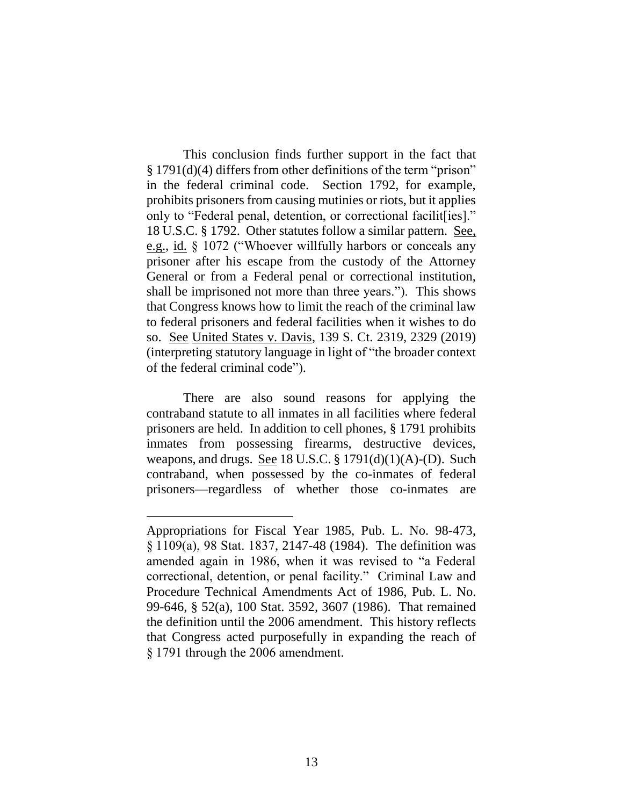This conclusion finds further support in the fact that § 1791(d)(4) differs from other definitions of the term "prison" in the federal criminal code. Section 1792, for example, prohibits prisoners from causing mutinies or riots, but it applies only to "Federal penal, detention, or correctional facilit[ies]." 18 U.S.C. § 1792. Other statutes follow a similar pattern. See, e.g., id. § 1072 ("Whoever willfully harbors or conceals any prisoner after his escape from the custody of the Attorney General or from a Federal penal or correctional institution, shall be imprisoned not more than three years."). This shows that Congress knows how to limit the reach of the criminal law to federal prisoners and federal facilities when it wishes to do so. See United States v. Davis, 139 S. Ct. 2319, 2329 (2019) (interpreting statutory language in light of "the broader context of the federal criminal code").

There are also sound reasons for applying the contraband statute to all inmates in all facilities where federal prisoners are held. In addition to cell phones, § 1791 prohibits inmates from possessing firearms, destructive devices, weapons, and drugs. See 18 U.S.C.  $\S 1791(d)(1)(A)$ -(D). Such contraband, when possessed by the co-inmates of federal prisoners—regardless of whether those co-inmates are

Appropriations for Fiscal Year 1985, Pub. L. No. 98-473, § 1109(a), 98 Stat. 1837, 2147-48 (1984). The definition was amended again in 1986, when it was revised to "a Federal correctional, detention, or penal facility." Criminal Law and Procedure Technical Amendments Act of 1986, Pub. L. No. 99-646, § 52(a), 100 Stat. 3592, 3607 (1986). That remained the definition until the 2006 amendment. This history reflects that Congress acted purposefully in expanding the reach of § 1791 through the 2006 amendment.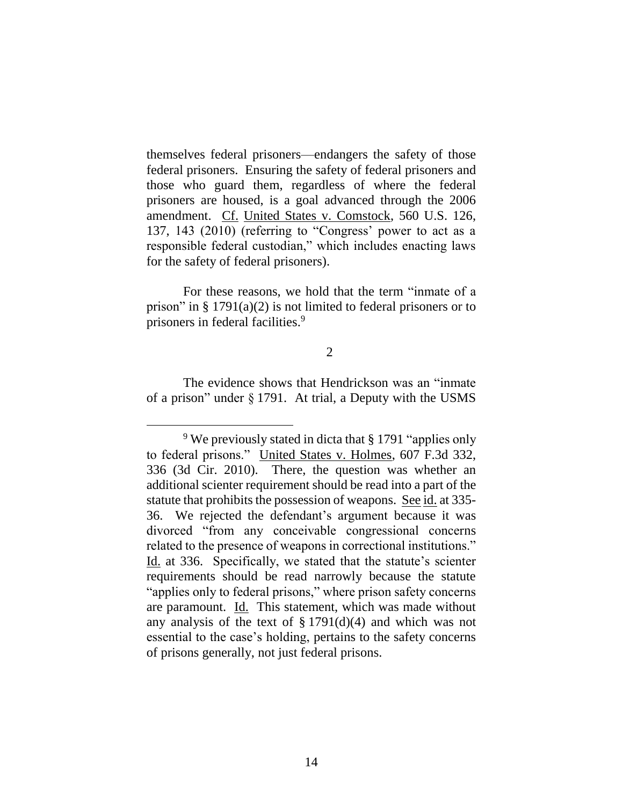themselves federal prisoners—endangers the safety of those federal prisoners. Ensuring the safety of federal prisoners and those who guard them, regardless of where the federal prisoners are housed, is a goal advanced through the 2006 amendment. Cf. United States v. Comstock, 560 U.S. 126, 137, 143 (2010) (referring to "Congress' power to act as a responsible federal custodian," which includes enacting laws for the safety of federal prisoners).

For these reasons, we hold that the term "inmate of a prison" in  $\S 1791(a)(2)$  is not limited to federal prisoners or to prisoners in federal facilities. 9

### 2

The evidence shows that Hendrickson was an "inmate of a prison" under § 1791. At trial, a Deputy with the USMS

<sup>9</sup> We previously stated in dicta that § 1791 "applies only to federal prisons." United States v. Holmes, 607 F.3d 332, 336 (3d Cir. 2010). There, the question was whether an additional scienter requirement should be read into a part of the statute that prohibits the possession of weapons. See id. at 335- 36. We rejected the defendant's argument because it was divorced "from any conceivable congressional concerns related to the presence of weapons in correctional institutions." Id. at 336. Specifically, we stated that the statute's scienter requirements should be read narrowly because the statute "applies only to federal prisons," where prison safety concerns are paramount. Id. This statement, which was made without any analysis of the text of  $\S 1791(d)(4)$  and which was not essential to the case's holding, pertains to the safety concerns of prisons generally, not just federal prisons.